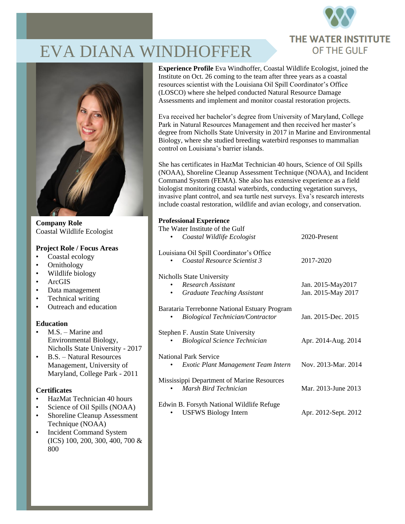

# EVA DIANA WINDHOFFER



**Company Role** Coastal Wildlife Ecologist

#### **Project Role / Focus Areas**

- Coastal ecology
- Ornithology
- Wildlife biology
- ArcGIS
- Data management
- Technical writing
- Outreach and education

### **Education**

- M.S. Marine and Environmental Biology, Nicholls State University - 2017
- B.S. Natural Resources Management, University of Maryland, College Park - 2011

## **Certificates**

- HazMat Technician 40 hours
- Science of Oil Spills (NOAA)
- Shoreline Cleanup Assessment Technique (NOAA)
- Incident Command System (ICS) 100, 200, 300, 400, 700 & 800

**Experience Profile** Eva Windhoffer, Coastal Wildlife Ecologist, joined the Institute on Oct. 26 coming to the team after three years as a coastal resources scientist with the Louisiana Oil Spill Coordinator's Office (LOSCO) where she helped conducted Natural Resource Damage Assessments and implement and monitor coastal restoration projects.

Eva received her bachelor's degree from University of Maryland, College Park in Natural Resources Management and then received her master's degree from Nicholls State University in 2017 in Marine and Environmental Biology, where she studied breeding waterbird responses to mammalian control on Louisiana's barrier islands.

She has certificates in HazMat Technician 40 hours, Science of Oil Spills (NOAA), Shoreline Cleanup Assessment Technique (NOAA), and Incident Command System (FEMA). She also has extensive experience as a field biologist monitoring coastal waterbirds, conducting vegetation surveys, invasive plant control, and sea turtle nest surveys. Eva's research interests include coastal restoration, wildlife and avian ecology, and conservation.

#### **Professional Experience**

| The Water Institute of the Gulf               |                      |
|-----------------------------------------------|----------------------|
| Coastal Wildlife Ecologist                    | 2020-Present         |
| Louisiana Oil Spill Coordinator's Office      |                      |
| Coastal Resource Scientist 3                  | 2017-2020            |
| Nicholls State University                     |                      |
| <b>Research Assistant</b>                     | Jan. 2015-May2017    |
| <b>Graduate Teaching Assistant</b>            | Jan. 2015-May 2017   |
| Barataria Terrebonne National Estuary Program |                      |
| <b>Biological Technician/Contractor</b>       | Jan. 2015-Dec. 2015  |
| Stephen F. Austin State University            |                      |
| <b>Biological Science Technician</b>          | Apr. 2014-Aug. 2014  |
| <b>National Park Service</b>                  |                      |
| Exotic Plant Management Team Intern           | Nov. 2013-Mar. 2014  |
| Mississippi Department of Marine Resources    |                      |
| Marsh Bird Technician                         | Mar. 2013-June 2013  |
| Edwin B. Forsyth National Wildlife Refuge     |                      |
| <b>USFWS Biology Intern</b>                   | Apr. 2012-Sept. 2012 |